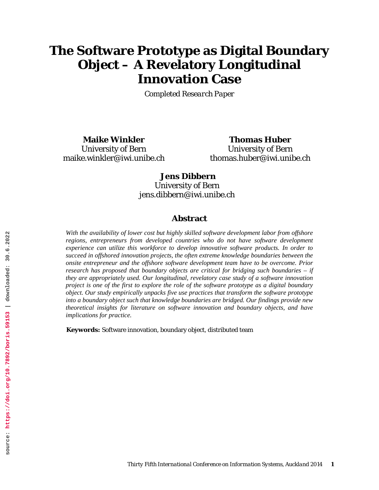# **The Software Prototype as Digital Boundary Object – A Revelatory Longitudinal Innovation Case**

*Completed Research Paper*

**Maike Winkler** University of Bern maike.winkler@iwi.unibe.ch

**Thomas Huber** University of Bern thomas.huber@iwi.unibe.ch

# **Jens Dibbern**

University of Bern jens.dibbern@iwi.unibe.ch

### **Abstract**

*With the availability of lower cost but highly skilled software development labor from offshore regions, entrepreneurs from developed countries who do not have software development experience can utilize this workforce to develop innovative software products. In order to succeed in offshored innovation projects, the often extreme knowledge boundaries between the onsite entrepreneur and the offshore software development team have to be overcome. Prior research has proposed that boundary objects are critical for bridging such boundaries – if they are appropriately used. Our longitudinal, revelatory case study of a software innovation project is one of the first to explore the role of the software prototype as a digital boundary object. Our study empirically unpacks five use practices that transform the software prototype into a boundary object such that knowledge boundaries are bridged. Our findings provide new theoretical insights for literature on software innovation and boundary objects, and have implications for practice.*

**Keywords:** Software innovation, boundary object, distributed team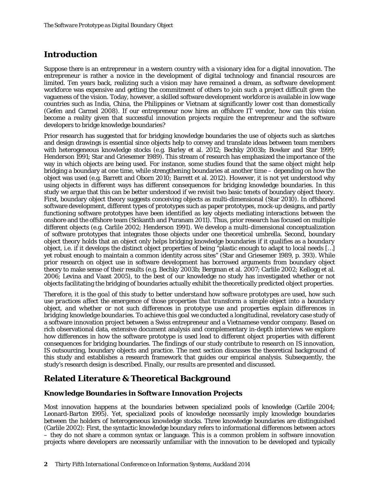# **Introduction**

Suppose there is an entrepreneur in a western country with a visionary idea for a digital innovation. The entrepreneur is rather a novice in the development of digital technology and financial resources are limited. Ten years back, realizing such a vision may have remained a dream, as software development workforce was expensive and getting the commitment of others to join such a project difficult given the vagueness of the vision. Today, however, a skilled software development workforce is available in low wage countries such as India, China, the Philippines or Vietnam at significantly lower cost than domestically [\(Gefen and Carmel 2008\)](#page-17-0). If our entrepreneur now hires an offshore IT vendor, how can this vision become a reality given that successful innovation projects require the entrepreneur and the software developers to bridge knowledge boundaries?

Prior research has suggested that for bridging knowledge boundaries the use of objects such as sketches and design drawings is essential since objects help to convey and translate ideas between team members with heterogeneous knowledge stocks (e.g. [Barley et al. 2012;](#page-17-1) [Bechky 2003b;](#page-17-2) [Bowker and Star 1999;](#page-17-3) [Henderson 1991;](#page-17-4) [Star and Griesemer 1989\)](#page-18-0). This stream of research has emphasized the importance of the way in which objects are being used. For instance, some studies found that the same object might help bridging a boundary at one time, while strengthening boundaries at another time – depending on how the object was used (e.g. [Barrett and Oborn 2010;](#page-17-5) [Barrett et al. 2012\)](#page-17-6). However, it is not yet understood why using objects in different ways has different consequences for bridging knowledge boundaries. In this study we argue that this can be better understood if we revisit two basic tenets of boundary object theory. First, boundary object theory suggests conceiving objects as multi-dimensional [\(Star 2010\)](#page-18-1). In offshored software development, different types of prototypes such as paper prototypes, mock-up designs, and partly functioning software prototypes have been identified as key objects mediating interactions between the onshore and the offshore team [\(Srikanth and Puranam 2011\)](#page-18-2). Thus, prior research has focused on multiple different objects (e.g. [Carlile 2002;](#page-17-7) [Henderson 1991\)](#page-17-4). We develop a multi-dimensional conceptualization of software prototypes that integrates those objects under one theoretical umbrella. Second, boundary object theory holds that an object only helps bridging knowledge boundaries if it qualifies as a *boundary* object, i.e. if it develops the distinct object properties of being "plastic enough to adapt to local needs […] yet robust enough to maintain a common identity across sites" [\(Star and Griesemer 1989, p. 393\)](#page-18-0). While prior research on object use in software development has borrowed arguments from boundary object theory to make sense of their results (e.g. [Bechky 2003b;](#page-17-2) [Bergman et al. 2007;](#page-17-8) [Carlile 2002;](#page-17-7) [Kellogg et al.](#page-17-9)  [2006;](#page-17-9) [Levina and Vaast 2005\)](#page-18-3), to the best of our knowledge no study has investigated whether or not objects facilitating the bridging of boundaries actually exhibit the theoretically predicted object properties.

*Therefore, it is the goal of this study to better understand how software prototypes are used, how such use practices affect the emergence of those properties that transform a simple object into a boundary object, and whether or not such differences in prototype use and properties explain differences in bridging knowledge boundaries.* To achieve this goal we conducted a longitudinal, revelatory case study of a software innovation project between a Swiss entrepreneur and a Vietnamese vendor company. Based on rich observational data, extensive document analysis and complementary in-depth interviews we explore how differences in how the software prototype is used lead to different object properties with different consequences for bridging boundaries. The findings of our study contribute to research on IS innovation, IS outsourcing, boundary objects and practice. The next section discusses the theoretical background of this study and establishes a research framework that guides our empirical analysis. Subsequently, the study's research design is described. Finally, our results are presented and discussed.

# **Related Literature & Theoretical Background**

### *Knowledge Boundaries in Software Innovation Projects*

Most innovation happens at the boundaries between specialized pools of knowledge [\(Carlile 2004;](#page-17-10) [Leonard-Barton 1995\)](#page-18-4). Yet, specialized pools of knowledge necessarily imply knowledge boundaries between the holders of heterogeneous knowledge stocks. Three knowledge boundaries are distinguished [\(Carlile 2002\)](#page-17-7): First, the syntactic knowledge boundary refers to informational differences between actors – they do not share a common syntax or language. This is a common problem in software innovation projects where developers are necessarily unfamiliar with the innovation to be developed and typically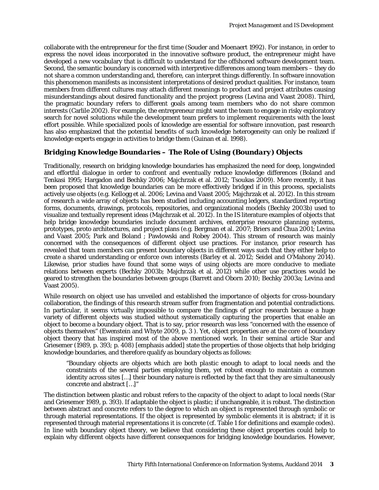collaborate with the entrepreneur for the first time [\(Souder and Moenaert 1992\)](#page-18-5). For instance, in order to express the novel ideas incorporated in the innovative software product, the entrepreneur might have developed a new vocabulary that is difficult to understand for the offshored software development team. Second, the semantic boundary is concerned with interpretive differences among team members – they do not share a common understanding and, therefore, can interpret things differently. In software innovation this phenomenon manifests as inconsistent interpretations of desired product qualities. For instance, team members from different cultures may attach different meanings to product and project attributes causing misunderstandings about desired functionality and the project progress [\(Levina and Vaast 2008\)](#page-18-6). Third, the pragmatic boundary refers to different goals among team members who do not share common interests [\(Carlile 2002\)](#page-17-7). For example, the entrepreneur might want the team to engage in risky exploratory search for novel solutions while the development team prefers to implement requirements with the least effort possible. While specialized pools of knowledge are essential for software innovation, past research has also emphasized that the potential benefits of such knowledge heterogeneity can only be realized if knowledge experts engage in activities to bridge them [\(Guinan et al. 1998\)](#page-17-11).

# *Bridging Knowledge Boundaries – The Role of Using (Boundary) Objects*

Traditionally, research on bridging knowledge boundaries has emphasized the need for deep, longwinded and effortful dialogue in order to confront and eventually reduce knowledge differences [\(Boland and](#page-17-12)  [Tenkasi 1995;](#page-17-12) [Hargadon and Bechky 2006;](#page-17-13) [Majchrzak et al. 2012;](#page-18-7) [Tsoukas 2009\)](#page-18-8). More recently, it has been proposed that knowledge boundaries can be more effectively bridged if in this process, specialists actively use objects (e.g[. Kellogg et al. 2006;](#page-17-9) [Levina and Vaast 2005;](#page-18-3) [Majchrzak et al. 2012\)](#page-18-7). In this stream of research a wide array of objects has been studied including accounting ledgers, standardized reporting forms, documents, drawings, protocols, repositories, and organizational models [\(Bechky 2003b\)](#page-17-2) used to visualize and textually represent ideas [\(Majchrzak et al. 2012\)](#page-18-7). In the IS literature examples of objects that help bridge knowledge boundaries include document archives, enterprise resource planning systems, prototypes, proto architectures, and project plans (e.g. [Bergman et al. 2007;](#page-17-8) [Briers and Chua 2001;](#page-17-14) [Levina](#page-18-3)  [and Vaast 2005;](#page-18-3) [Park and Boland ;](#page-18-9) [Pawlowski and Robey 2004\)](#page-18-10). This stream of research was mainly concerned with the consequences of different object use practices. For instance, prior research has revealed that team members can present boundary objects in different ways such that they either help to create a shared understanding or enforce own interests [\(Barley et al. 2012;](#page-17-1) [Seidel and O'Mahony 2014\)](#page-18-11). Likewise, prior studies have found that some ways of using objects are more conducive to mediate relations between experts [\(Bechky 2003b;](#page-17-2) [Majchrzak et al. 2012\)](#page-18-7) while other use practices would be geared to strengthen the boundaries between groups [\(Barrett and Oborn 2010;](#page-17-5) [Bechky 2003a;](#page-17-15) [Levina](#page-18-3) and [Vaast 2005\)](#page-18-3).

While research on object use has unveiled and established the importance of objects for cross-boundary collaboration, the findings of this research stream suffer from fragmentation and potential contradictions. In particular, it seems virtually impossible to compare the findings of prior research because a huge variety of different objects was studied without systematically capturing the properties that enable an object to become a boundary object. That is to say, prior research was less "concerned with the essence of objects themselves" [\(Ewenstein and Whyte 2009, p. 3 \)](#page-17-16). Yet, object properties are at the core of boundary object theory that has inspired most of the above mentioned work. In their seminal article [Star and](#page-18-0)  [Griesemer \(1989, p. 393; p. 408\)](#page-18-0) [emphasis added] state the properties of those objects that help bridging knowledge boundaries, and therefore qualify as boundary objects as follows:

"Boundary objects are objects which are both *plastic* enough to adapt to local needs and the constraints of the several parties employing them, yet *robust* enough to maintain a common identity across sites […] their boundary nature is reflected by the fact that they are simultaneously concrete and abstract […]"

The distinction between plastic and robust refers to the capacity of the object to adapt to local needs [\(Star](#page-18-0)  [and Griesemer 1989, p. 393\)](#page-18-0). If adaptable the object is plastic; if unchangeable, it is robust. The distinction between abstract and concrete refers to the degree to which an object is represented through symbolic or through material representations. If the object is represented by symbolic elements it is abstract; if it is represented through material representations it is concrete (cf. Table 1 for definitions and example codes). In line with boundary object theory, we believe that considering these object properties could help to explain why different objects have different consequences for bridging knowledge boundaries. However,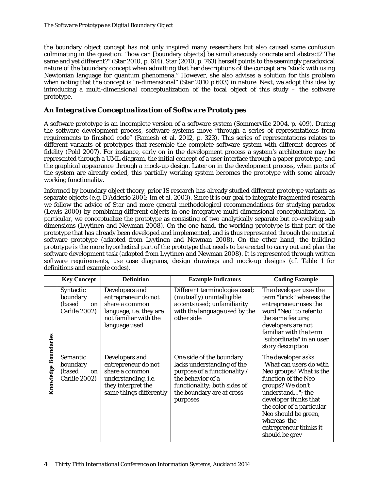the boundary object concept has not only inspired many researchers but also caused some confusion culminating in the question: "how can [boundary objects] be simultaneously concrete and abstract? The same and yet different?" [\(Star 2010, p. 614\). Star \(2010, p. 763\)](#page-18-1) herself points to the seemingly paradoxical nature of the boundary concept when admitting that her descriptions of the concept are "stuck with using Newtonian language for quantum phenomena." However, she also advises a solution for this problem when noting that the concept is "n-dimensional" [\(Star 2010 p.603\)](#page-18-1) in nature. Next, we adopt this idea by introducing a multi-dimensional conceptualization of the focal object of this study – the software prototype.

# *An Integrative Conceptualization of Software Prototypes*

A software prototype is an incomplete version of a software system [\(Sommerville 2004, p. 409\)](#page-18-12). During the software development process, software systems move "through a series of representations from requirements to finished code" [\(Ramesh et al. 2012, p. 323\)](#page-18-13). This series of representations relates to different variants of prototypes that resemble the complete software system with different degrees of fidelity [\(Pohl 2007\)](#page-18-14). For instance, early on in the development process a system's architecture may be represented through a UML diagram, the initial concept of a user interface through a paper prototype, and the graphical appearance through a mock-up design. Later on in the development process, when parts of the system are already coded, this partially working system becomes the prototype with some already working functionality.

Informed by boundary object theory, prior IS research has already studied different prototype variants as separate objects (e.g. [D'Adderio 2001;](#page-17-17) [Im et al. 2003\)](#page-17-18). Since it is our goal to integrate fragmented research we follow the advice of Star and more general methodological recommendations for studying paradox [\(Lewis 2000\)](#page-18-15) by combining different objects in one integrative multi-dimensional conceptualization. In particular, we conceptualize the prototype as consisting of two analytically separate but co-evolving sub dimensions [\(Lyytinen and Newman 2008\)](#page-18-16). On the one hand, the *working prototype* is that part of the prototype that has already been developed and implemented, and is thus represented through the material software prototype [\(adapted from Lyytinen and Newman 2008\)](#page-18-16). On the other hand, the *building prototype* is the more hypothetical part of the prototype that needs to be erected to carry out and plan the software development task [\(adapted from Lyytinen and Newman 2008\)](#page-18-16). It is represented through written software requirements, use case diagrams, design drawings and mock-up designs (cf. Table 1 for definitions and example codes).

|                             | <b>Key Concept</b>                                       | <b>Definition</b>                                                                                                               | <b>Example Indicators</b>                                                                                                                                                             | <b>Coding Example</b>                                                                                                                                                                                                                                                             |
|-----------------------------|----------------------------------------------------------|---------------------------------------------------------------------------------------------------------------------------------|---------------------------------------------------------------------------------------------------------------------------------------------------------------------------------------|-----------------------------------------------------------------------------------------------------------------------------------------------------------------------------------------------------------------------------------------------------------------------------------|
| <b>Knowledge Boundaries</b> | Syntactic<br>boundary<br>(based<br>on  <br>Carlile 2002) | Developers and<br>entrepreneur do not<br>share a common<br>language, i.e. they are<br>not familiar with the<br>language used    | Different terminologies used;<br>(mutually) unintelligible<br>accents used; unfamiliarity<br>with the language used by the<br>other side                                              | The developer uses the<br>term "brick" whereas the<br>entrepreneur uses the<br>word "Neo" to refer to<br>the same feature;<br>developers are not<br>familiar with the term<br>"subordinate" in an user<br>story description                                                       |
|                             | Semantic<br>boundary<br>(based<br>on<br>Carlile 2002)    | Developers and<br>entrepreneur do not<br>share a common<br>understanding, i.e.<br>they interpret the<br>same things differently | One side of the boundary<br>lacks understanding of the<br>purpose of a functionality /<br>the behavior of a<br>functionality; both sides of<br>the boundary are at cross-<br>purposes | The developer asks:<br>"What can users do with<br>Neo groups? What is the<br>function of the Neo<br>groups? We don't<br>understand"; the<br>developer thinks that<br>the color of a particular<br>Neo should be green,<br>whereas the<br>entrepreneur thinks it<br>should be grey |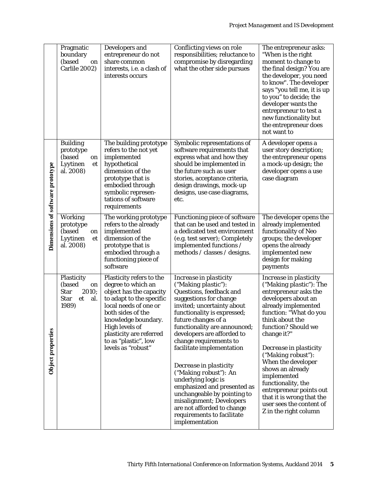|                                  | Pragmatic<br>boundary<br>(based<br>on<br>Carlile 2002)                                  | Developers and<br>entrepreneur do not<br>share common<br>interests, i.e. a clash of<br>interests occurs                                                                                                                                         | Conflicting views on role<br>responsibilities; reluctance to<br>compromise by disregarding<br>what the other side pursues                                                                                                                                                      | The entrepreneur asks:<br>"When is the right<br>moment to change to<br>the final design? You are<br>the developer, you need<br>to know". The developer<br>says "you tell me, it is up<br>to you" to decide; the<br>developer wants the<br>entrepreneur to test a<br>new functionality but<br>the entrepreneur does<br>not want to |
|----------------------------------|-----------------------------------------------------------------------------------------|-------------------------------------------------------------------------------------------------------------------------------------------------------------------------------------------------------------------------------------------------|--------------------------------------------------------------------------------------------------------------------------------------------------------------------------------------------------------------------------------------------------------------------------------|-----------------------------------------------------------------------------------------------------------------------------------------------------------------------------------------------------------------------------------------------------------------------------------------------------------------------------------|
| Dimensions of software prototype | <b>Building</b><br>prototype<br>(based<br>on<br>Lyytinen<br>et<br>al. 2008)             | The building prototype<br>refers to the not yet<br>implemented<br>hypothetical<br>dimension of the<br>prototype that is<br>embodied through<br>symbolic represen-<br>tations of software<br>requirements                                        | Symbolic representations of<br>software requirements that<br>express what and how they<br>should be implemented in<br>the future such as user<br>stories, acceptance criteria,<br>design drawings, mock-up<br>designs, use case diagrams,<br>etc.                              | A developer opens a<br>user story description;<br>the entrepreneur opens<br>a mock-up design; the<br>developer opens a use<br>case diagram                                                                                                                                                                                        |
|                                  | <b>Working</b><br>prototype<br>(based<br>on<br>Lyytinen<br>et<br>al. 2008)              | The working prototype<br>refers to the already<br>implemented<br>dimension of the<br>prototype that is<br>embodied through a<br>functioning piece of<br>software                                                                                | <b>Functioning piece of software</b><br>that can be used and tested in<br>a dedicated test environment<br>(e.g. test server); Completely<br>implemented functions /<br>methods / classes / designs.                                                                            | The developer opens the<br>already implemented<br>functionality of Neo<br>groups; the developer<br>opens the already<br>implemented new<br>design for making<br>payments                                                                                                                                                          |
|                                  | Plasticity<br>(based<br>on<br><b>Star</b><br>2010;<br><b>Star</b><br>et<br>al.<br>1989) | Plasticity refers to the<br>degree to which an<br>object has the capacity<br>to adapt to the specific<br>local needs of one or<br>both sides of the<br>knowledge boundary.<br>High levels of<br>plasticity are referred<br>to as "plastic", low | Increase in plasticity<br>("Making plastic"):<br>Questions, feedback and<br>suggestions for change<br>invited; uncertainty about<br>functionality is expressed;<br>future changes of a<br>functionality are announced;<br>developers are afforded to<br>change requirements to | Increase in plasticity<br><i>("Making plastic")</i> : The<br>entrepreneur asks the<br>developers about an<br>already implemented<br>function: "What do you<br>think about the<br>function? Should we<br>change it?"                                                                                                               |
| Object properties                |                                                                                         | levels as "robust"                                                                                                                                                                                                                              | facilitate implementation<br>Decrease in plasticity<br>("Making robust"): An<br>underlying logic is<br>emphasized and presented as<br>unchangeable by pointing to<br>misalignment; Developers<br>are not afforded to change<br>requirements to facilitate<br>implementation    | Decrease in plasticity<br>("Making robust"):<br>When the developer<br>shows an already<br>implemented<br>functionality, the<br>entrepreneur points out<br>that it is wrong that the<br>user sees the content of<br>Z in the right column                                                                                          |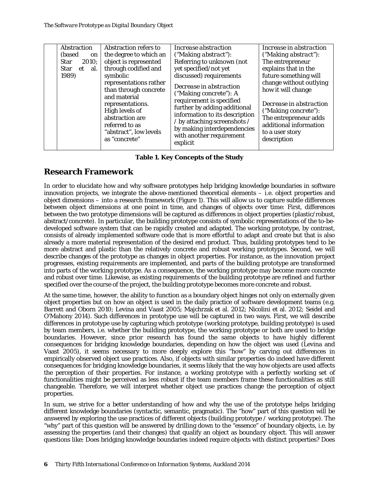| Abstraction<br>(based)<br>on<br><b>Star</b><br>2010;<br><b>Star</b><br>et al.<br>1989) | Abstraction refers to<br>the degree to which an<br>object is represented<br>through codified and<br>symbolic<br>representations rather<br>than through concrete<br>and material<br>representations.<br>High levels of<br>abstraction are<br>referred to as<br>"abstract", low levels<br>as "concrete" | Increase abstraction<br>("Making abstract"):<br>Referring to unknown (not<br>yet specified/not yet<br>discussed) requirements<br>Decrease in abstraction<br>("Making concrete"): A<br>requirement is specified<br>further by adding additional<br>information to its description<br>/ by attaching screenshots /<br>by making interdependencies<br>with another requirement<br>explicit | Increase in abstraction<br>$("Making abstract")$ :<br>The entrepreneur<br>explains that in the<br>future something will<br>change without outlying<br>how it will change<br>Decrease in abstraction<br>("Making concrete"):<br>The entrepreneur adds<br>additional information<br>to a user story<br>description |
|----------------------------------------------------------------------------------------|-------------------------------------------------------------------------------------------------------------------------------------------------------------------------------------------------------------------------------------------------------------------------------------------------------|-----------------------------------------------------------------------------------------------------------------------------------------------------------------------------------------------------------------------------------------------------------------------------------------------------------------------------------------------------------------------------------------|------------------------------------------------------------------------------------------------------------------------------------------------------------------------------------------------------------------------------------------------------------------------------------------------------------------|
|                                                                                        |                                                                                                                                                                                                                                                                                                       |                                                                                                                                                                                                                                                                                                                                                                                         |                                                                                                                                                                                                                                                                                                                  |

**Table 1. Key Concepts of the Study**

# **Research Framework**

In order to elucidate how and why software prototypes help bridging knowledge boundaries in software innovation projects, we integrate the above-mentioned theoretical elements – i.e. object properties and object dimensions – into a research framework (Figure 1). This will allow us to capture subtle differences between object dimensions at one point in time, and changes of objects over time: First, differences between the two prototype dimensions will be captured as differences in object properties (plastic/robust, abstract/concrete). In particular, the building prototype consists of symbolic representations of the to-bedeveloped software system that can be rapidly created and adapted. The working prototype, by contrast, consists of already implemented software code that is more effortful to adapt and create but that is also already a more material representation of the desired end product. Thus, building prototypes tend to be more abstract and plastic than the relatively concrete and robust working prototypes. Second, we will describe changes of the prototype as changes in object properties. For instance, as the innovation project progresses, existing requirements are implemented, and parts of the building prototype are transformed into parts of the working prototype. As a consequence, the working prototype may become more concrete and robust over time. Likewise, as existing requirements of the building prototype are refined and further specified over the course of the project, the building prototype becomes more concrete and robust.

At the same time, however, the ability to function as a boundary object hinges not only on externally given object properties but on how an object is used in the daily practice of software development teams (e.g. [Barrett and Oborn 2010;](#page-17-5) [Levina and Vaast 2005;](#page-18-3) [Majchrzak et al. 2012;](#page-18-7) [Nicolini et al. 2012;](#page-18-17) [Seidel and](#page-18-11)  [O'Mahony 2014\)](#page-18-11). Such differences in prototype use will be captured in two ways. First, we will describe differences in prototype use by capturing which prototype (working prototype, building prototype) is used by team members, i.e. whether the building prototype, the working prototype or both are used to bridge boundaries. However, since prior research has found the same objects to have highly different consequences for bridging knowledge boundaries, depending on how the object was used [\(Levina and](#page-18-3)  [Vaast 2005\)](#page-18-3), it seems necessary to more deeply explore this "how" by carving out differences in empirically observed object use practices. Also, if objects with similar properties do indeed have different consequences for bridging knowledge boundaries, it seems likely that the way how objects are used affects the perception of their properties. For instance, a working prototype with a perfectly working set of functionalities might be perceived as less robust if the team members frame these functionalities as still changeable. Therefore, we will interpret whether object use practices change the perception of object properties.

In sum, we strive for a better understanding of how and why the use of the prototype helps bridging different knowledge boundaries (syntactic, semantic, pragmatic). The "how" part of this question will be answered by exploring the use practices of different objects (building prototype / working prototype). The "why" part of this question will be answered by drilling down to the "essence" of boundary objects, i.e. by assessing the properties (and their changes) that qualify an object as *boundary* object. This will answer questions like: Does bridging knowledge boundaries indeed require objects with distinct properties? Does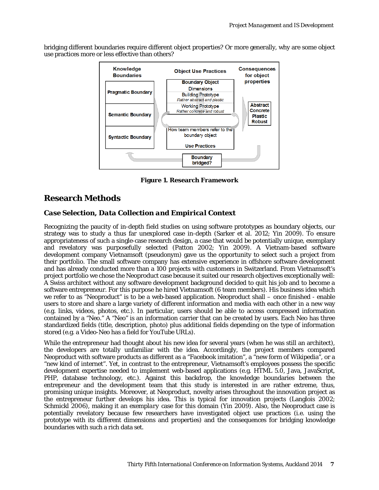bridging different boundaries require different object properties? Or more generally, why are some object use practices more or less effective than others?



**Figure 1. Research Framework**

# **Research Methods**

### *Case Selection, Data Collection and Empirical Context*

Recognizing the paucity of in-depth field studies on using software prototypes as boundary objects, our strategy was to study a thus far unexplored case in-depth [\(Sarker et al.](#page-18-18) 2012; [Yin 2009\)](#page-18-19). To ensure appropriateness of such a single-case research design, a case that would be potentially unique, exemplary and revelatory was purposefully selected [\(Patton 2002;](#page-18-20) [Yin 2009\)](#page-18-19). A Vietnam-based software development company Vietnamsoft (pseudonym) gave us the opportunity to select such a project from their portfolio. The small software company has extensive experience in offshore software development and has already conducted more than a 100 projects with customers in Switzerland. From Vietnamsoft's project portfolio we chose the Neoproduct case because it suited our research objectives exceptionally well: A Swiss architect without any software development background decided to quit his job and to become a software entrepreneur. For this purpose he hired Vietnamsoft (6 team members). His business idea which we refer to as "Neoproduct" is to be a web-based application. Neoproduct shall – once finished - enable users to store and share a large variety of different information and media with each other in a new way (e.g. links, videos, photos, etc.). In particular, users should be able to access compressed information contained by a "Neo." A "Neo" is an information carrier that can be created by users. Each Neo has three standardized fields (title, description, photo) plus additional fields depending on the type of information stored (e.g. a Video-Neo has a field for YouTube URLs).

While the entrepreneur had thought about his new idea for several years (when he was still an architect), the developers are totally unfamiliar with the idea. Accordingly, the project members compared Neoproduct with software products as different as a "Facebook imitation", a "new form of Wikipedia", or a "new kind of internet". Yet, in contrast to the entrepreneur, Vietnamsoft's employees possess the specific development expertise needed to implement web-based applications (e.g. HTML 5.0, Java, JavaScript, PHP, database technology, etc.). Against this backdrop, the knowledge boundaries between the entrepreneur and the development team that this study is interested in are rather extreme, thus, promising *unique* insights. Moreover, at Neoproduct, novelty arises throughout the innovation project as the entrepreneur further develops his idea. This is typical for innovation projects [\(Langlois 2002;](#page-18-21) [Schmickl 2006\)](#page-18-22), making it an *exemplary* case for this domain [\(Yin 2009\)](#page-18-19). Also, the Neoproduct case is potentially revelatory because few researchers have investigated object use practices (i.e. using the prototype with its different dimensions and properties) and the consequences for bridging knowledge boundaries with such a rich data set.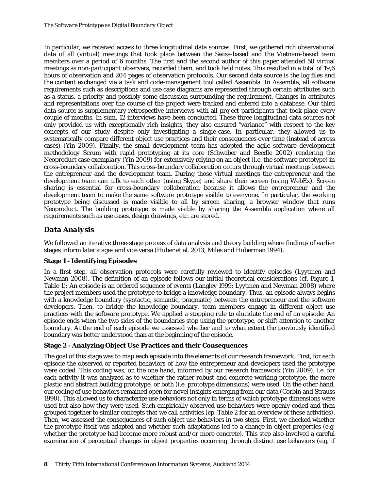In particular, we received access to three longitudinal data sources: First, we gathered rich observational data of all (virtual) meetings that took place between the Swiss-based and the Vietnam-based team members over a period of 6 months. The first and the second author of this paper attended 50 virtual meetings as non-participant observers, recorded them, and took field notes. This resulted in a total of 19,6 hours of observation and 204 pages of observation protocols. Our second data source is the log files and the content exchanged via a task and code-management tool called Assembla. In Assembla, all software requirements such as descriptions and use case diagrams are represented through certain attributes such as a status, a priority and possibly some discussion surrounding the requirement. Changes in attributes and representations over the course of the project were tracked and entered into a database. Our third data source is supplementary retrospective interviews with all project participants that took place every couple of months. In sum, 12 interviews have been conducted. These three longitudinal data sources not only provided us with exceptionally rich insights, they also ensured "variance" with respect to the key concepts of our study despite only investigating a single-case. In particular, they allowed us to systematically compare different object use practices and their consequences over time (instead of across cases) [\(Yin 2009\)](#page-18-19). Finally, the small development team has adopted the agile software development methodology Scrum with rapid prototyping at its core [\(Schwaber and Beedle 2002\)](#page-18-23) rendering the Neoproduct case *exemplary* [\(Yin 2009\)](#page-18-19) for extensively relying on an object (i.e. the software prototype) in cross-boundary collaboration. This cross-boundary collaboration occurs through virtual meetings between the entrepreneur and the development team. During those virtual meetings the entrepreneur and the development team can talk to each other (using Skype) and share their screen (using WebEx). Screen sharing is essential for cross-boundary collaboration because it allows the entrepreneur and the development team to make the same software prototype visible to everyone. In particular, the working prototype being discussed is made visible to all by screen sharing, a browser window that runs Neoproduct. The building prototype is made visible by sharing the Assembla application where all requirements such as use cases, design drawings, etc. are stored.

# *Data Analysis*

We followed an iterative three-stage process of data analysis and theory building where findings of earlier stages inform later stages and vice versa [\(Huber et al. 2013;](#page-17-19) [Miles and Huberman 1994\)](#page-18-24).

### **Stage 1 - Identifying Episodes**

In a first step, all observation protocols were carefully reviewed to identify episodes [\(Lyytinen and](#page-18-16)  [Newman 2008\)](#page-18-16). The definition of an episode follows our initial theoretical considerations (cf. Figure 1, Table 1): An episode is an ordered sequence of events [\(Langley 1999;](#page-17-20) [Lyytinen and Newman 2008\)](#page-18-16) where the project members used the prototype to bridge a knowledge boundary. Thus, an episode always begins with a knowledge boundary (syntactic, semantic, pragmatic) between the entrepreneur and the software developers. Then, to bridge the knowledge boundary, team members engage in different object use practices with the software prototype. We applied a stopping rule to elucidate the end of an episode: An episode ends when the two sides of the boundaries stop using the prototype, or shift attention to another boundary. At the end of each episode we assessed whether and to what extent the previously identified boundary was better understood than at the beginning of the episode.

### **Stage 2 - Analyzing Object Use Practices and their Consequences**

The goal of this stage was to map each episode into the elements of our research framework. First, for each episode the observed or reported behaviors of how the entrepreneur and developers used the prototype were coded. This coding was, on the one hand, informed by our research framework [\(Yin 2009\)](#page-18-19), i.e. for each activity it was analyzed as to whether the rather robust and concrete working prototype, the more plastic and abstract building prototype, or both (i.e. prototype dimensions) were used. On the other hand, our coding of use behaviors remained open for novel insights emerging from our data [\(Corbin and Strauss](#page-17-21)  [1990\)](#page-17-21). This allowed us to characterize use behaviors not only in terms of which prototype dimensions were used but also how they were used. Such empirically observed use behaviors were openly coded and then grouped together to similar concepts that we call activities (cp. Table 2 for an overview of these activities). Then, we assessed the consequences of such object use behaviors in two steps. First, we checked whether the prototype itself was adapted and whether such adaptations led to a change in object properties (e.g. whether the prototype had become more robust and/or more concrete). This step also involved a careful examination of perceptual changes in object properties occurring through distinct use behaviors (e.g. if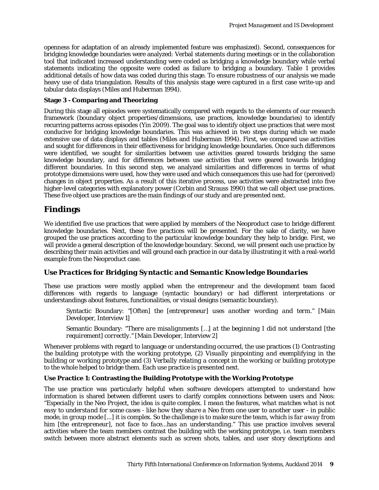openness for adaptation of an already implemented feature was emphasized). Second, consequences for bridging knowledge boundaries were analyzed: Verbal statements during meetings or in the collaboration tool that indicated increased understanding were coded as bridging a knowledge boundary while verbal statements indicating the opposite were coded as failure to bridging a boundary. Table 1 provides additional details of how data was coded during this stage. To ensure robustness of our analysis we made heavy use of data triangulation. Results of this analysis stage were captured in a first case write-up and tabular data displays [\(Miles and Huberman 1994\)](#page-18-24).

#### **Stage 3 - Comparing and Theorizing**

During this stage all episodes were systematically compared with regards to the elements of our research framework (boundary object properties/dimensions, use practices, knowledge boundaries) to identify recurring patterns across episodes [\(Yin 2009\)](#page-18-19). The goal was to identify object use practices that were most conducive for bridging knowledge boundaries. This was achieved in two steps during which we made extensive use of data displays and tables [\(Miles and Huberman 1994\)](#page-18-24). First, we compared use activities and sought for differences in their effectiveness for bridging knowledge boundaries. Once such differences were identified, we sought for similarities between use activities geared towards bridging the same knowledge boundary, and for differences between use activities that were geared towards bridging different boundaries. In this second step, we analyzed similarities and differences in terms of what prototype dimensions were used, how they were used and which consequences this use had for (perceived) changes in object properties. As a result of this iterative process, use activities were abstracted into five higher-level categories with explanatory power [\(Corbin and Strauss 1990\)](#page-17-21) that we call object use practices. These five object use practices are the main findings of our study and are presented next.

# **Findings**

We identified five use practices that were applied by members of the Neoproduct case to bridge different knowledge boundaries. Next, these five practices will be presented. For the sake of clarity, we have grouped the use practices according to the particular knowledge boundary they help to bridge. First, we will provide a general description of the knowledge boundary. Second, we will present each use practice by describing their main activities and will ground each practice in our data by illustrating it with a real-world example from the Neoproduct case.

### *Use Practices for Bridging Syntactic and Semantic Knowledge Boundaries*

These use practices were mostly applied when the entrepreneur and the development team faced differences with regards to language (syntactic boundary) or had different interpretations or understandings about features, functionalities, or visual designs (semantic boundary).

Syntactic Boundary: *"[Often] the [entrepreneur] uses another wording and term."* [Main Developer, Interview 1]

Semantic Boundary: "*There are misalignments […] at the beginning I did not understand [the requirement] correctly."* [Main Developer, Interview 2]

Whenever problems with regard to language or understanding occurred, the use practices (1) *Contrasting the building prototype with the working prototype*, (2) *Visually pinpointing and exemplifying in the building or working prototype* and (3) *Verbally relating a concept in the working or building prototype to the whole* helped to bridge them. Each use practice is presented next.

### **Use Practice 1: Contrasting the Building Prototype with the Working Prototype**

The use practice was particularly helpful when software developers attempted to understand how information is shared between different users to clarify complex connections between users and Neos: "*Especially in the Neo Project, the idea is quite complex. I mean the features, what matches what is not easy to understand for some cases - like how they share a Neo from one user to another user - in public mode, in group mode [...] it is complex. So the challenge is to make sure the team, which is far away from him [the entrepreneur], not face to face...has an understanding.*" This use practice involves several activities where the team members contrast the building with the working prototype, i.e. team members switch between more abstract elements such as screen shots, tables, and user story descriptions and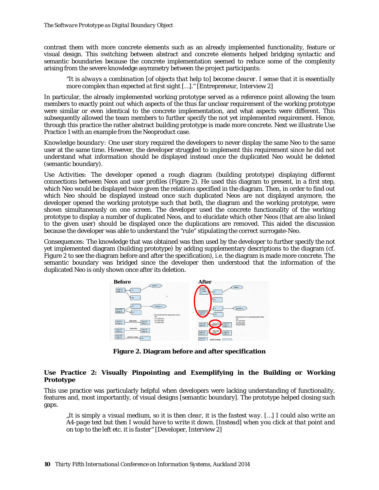contrast them with more concrete elements such as an already implemented functionality, feature or visual design. This switching between abstract and concrete elements helped bridging syntactic and semantic boundaries because the concrete implementation seemed to reduce some of the complexity arising from the severe knowledge asymmetry between the project participants:

"*It is always a combination [of objects that help to] become clearer. I sense that it is essentially more complex than expected at first sight […].*" [Entrepreneur, Interview 2]

In particular, the already implemented working prototype served as a reference point allowing the team members to exactly point out which aspects of the thus far unclear requirement of the working prototype were similar or even identical to the concrete implementation, and what aspects were different. This subsequently allowed the team members to further specify the not yet implemented requirement. Hence, through this practice the rather abstract building prototype is made more concrete. Next we illustrate Use Practice 1 with an example from the Neoproduct case.

*Knowledge boundary:* One user story required the developers to never display the same Neo to the same user at the same time. However, the developer struggled to implement this requirement since he did not understand what information should be displayed instead once the duplicated Neo would be deleted (semantic boundary).

*Use Activities:* The developer opened a rough diagram (building prototype) displaying different connections between Neos and user profiles (Figure 2). He used this diagram to present, in a first step, which Neo would be displayed twice given the relations specified in the diagram. Then, in order to find out which Neo should be displayed instead once such duplicated Neos are not displayed anymore, the developer opened the working prototype such that both, the diagram and the working prototype, were shown simultaneously on one screen. The developer used the concrete functionality of the working prototype to display a number of duplicated Neos, and to elucidate which other Neos (that are also linked to the given user) should be displayed once the duplications are removed. This aided the discussion because the developer was able to understand the "rule" stipulating the correct surrogate-Neo.

*Consequences:* The knowledge that was obtained was then used by the developer to further specify the not yet implemented diagram (building prototype) by adding supplementary descriptions to the diagram (cf. Figure 2 to see the diagram before and after the specification), i.e. the diagram is made more concrete. The semantic boundary was bridged since the developer then understood that the information of the duplicated Neo is only shown once after its deletion.



**Figure 2. Diagram before and after specification**

#### **Use Practice 2: Visually Pinpointing and Exemplifying in the Building or Working Prototype**

This use practice was particularly helpful when developers were lacking understanding of functionality, features and, most importantly, of visual designs [semantic boundary]. The prototype helped closing such gaps.

*"It is simply a visual medium, so it is then clear, it is the fastest way. […] I could also write an A4-page text but then I would have to write it down. [Instead] when you click at that point and on top to the left etc. it is faster"* [Developer, Interview 2]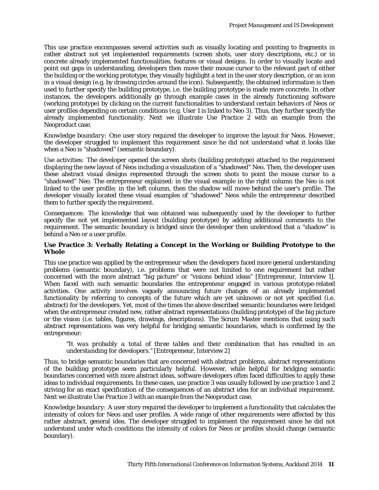This use practice encompasses several activities such as visually locating and pointing to fragments in rather abstract not yet implemented requirements (screen shots, user story descriptions, etc.) or in concrete already implemented functionalities, features or visual designs. In order to visually locate and point out gaps in understanding, developers then move their mouse cursor to the relevant part of either the building or the working prototype, they visually highlight a text in the user story description, or an icon in a visual design (e.g. by drawing circles around the icon). Subsequently, the obtained information is then used to further specify the building prototype, i.e. the building prototype is made more concrete. In other instances, the developers additionally go through example cases in the already functioning software (working prototype) by clicking on the current functionalities to understand certain behaviors of Neos or user profiles depending on certain conditions (e.g. User 1 is linked to Neo 3). Thus, they further specify the already implemented functionality. Next we illustrate Use Practice 2 with an example from the Neoproduct case.

*Knowledge boundary:* One user story required the developer to improve the layout for Neos. However, the developer struggled to implement this requirement since he did not understand what it looks like when a Neo is "shadowed" (semantic boundary).

*Use activities:* The developer opened the screen shots (building prototype) attached to the requirement displaying the new layout of Neos including a visualization of a "shadowed" Neo. Then, the developer uses these abstract visual designs represented through the screen shots to point the mouse cursor to a "shadowed" Neo. The entrepreneur explained: in the visual example in the right column the Neo is not linked to the user profile; in the left column, then the shadow will move behind the user's profile. The developer visually located these visual examples of "shadowed" Neos while the entrepreneur described them to further specify the requirement.

*Consequences:* The knowledge that was obtained was subsequently used by the developer to further specify the not yet implemented layout (building prototype) by adding additional comments to the requirement. The semantic boundary is bridged since the developer then understood that a "shadow" is behind a Neo or a user profile.

#### **Use Practice 3: Verbally Relating a Concept in the Working or Building Prototype to the Whole**

This use practice was applied by the entrepreneur when the developers faced more general understanding problems (semantic boundary), i.e. problems that were not limited to one requirement but rather concerned with the more abstract "big picture" or "visions behind ideas" [Entrepreneur, Interview 1]. When faced with such semantic boundaries the entrepreneur engaged in various prototype-related activities. One activity involves vaguely announcing future changes of an already implemented functionality by referring to concepts of the future which are yet unknown or not yet specified (i.e. abstract) for the developers. Yet, most of the times the above described semantic boundaries were bridged when the entrepreneur created new, rather abstract representations (building prototype) of the big picture or the vision (i.e. tables, figures, drawings, descriptions). The Scrum Master mentions that using such abstract representations was very helpful for bridging semantic boundaries, which is confirmed by the entrepreneur:

*"It was probably a total of three tables and their combination that has resulted in an understanding for developers."* [Entrepreneur, Interview 2]

Thus, to bridge semantic boundaries that are concerned with abstract problems, abstract representations of the building prototype seem particularly helpful. However, while helpful for bridging semantic boundaries concerned with more abstract ideas, software developers often faced difficulties to apply these ideas to individual requirements. In these cases, use practice 3 was usually followed by use practice 1 and 2 striving for an exact specification of the consequences of an abstract idea for an individual requirement. Next we illustrate Use Practice 3 with an example from the Neoproduct case.

*Knowledge boundary:* A user story required the developer to implement a functionality that calculates the intensity of colors for Neos and user profiles. A wide range of other requirements were affected by this rather abstract, general idea. The developer struggled to implement the requirement since he did not understand under which conditions the intensity of colors for Neos or profiles should change (semantic boundary).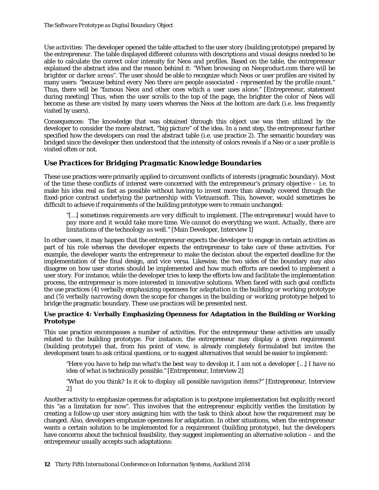*Use activities:* The developer opened the table attached to the user story (building prototype) prepared by the entrepreneur. The table displayed different columns with descriptions and visual designs needed to be able to calculate the correct color intensity for Neos and profiles. Based on the table, the entrepreneur explained the abstract idea and the reason behind it: *"When browsing on Neoproduct.com there will be brighter or darker areas".* The user should be able to recognize which Neos or user profiles are visited by many users: "*because behind every Neo there are people associated - represented by the profile count."* Thus, there will be *"famous Neos and other ones which a user uses alone."* [Entrepreneur, statement during meeting] Thus, when the user scrolls to the top of the page, the brighter the color of Neos will become as these are visited by many users whereas the Neos at the bottom are dark (i.e. less frequently visited by users).

*Consequences:* The knowledge that was obtained through this object use was then utilized by the developer to consider the more abstract, "big picture" of the idea. In a next step, the entrepreneur further specified how the developers can read the abstract table (i.e. use practice 2). The semantic boundary was bridged since the developer then understood that the intensity of colors reveals if a Neo or a user profile is visited often or not.

# *Use Practices for Bridging Pragmatic Knowledge Boundaries*

These use practices were primarily applied to circumvent conflicts of interests (pragmatic boundary). Most of the time these conflicts of interest were concerned with the entrepreneur's primary objective – i.e. to make his idea real as fast as possible without having to invest more than already covered through the fixed-price contract underlying the partnership with Vietnamsoft. This, however, would sometimes be difficult to achieve if requirements of the building prototype were to remain unchanged:

"[…] *sometimes requirements are very difficult to implement. [The entrepreneur] would have to pay more and it would take more time. We cannot do everything we want. Actually, there are limitations of the technology as well.*" [Main Developer, Interview 1]

In other cases, it may happen that the entrepreneur expects the developer to engage in certain activities as part of his role whereas the developer expects the entrepreneur to take care of these activities. For example, the developer wants the entrepreneur to make the decision about the expected deadline for the implementation of the final design, and vice versa. Likewise, the two sides of the boundary may also disagree on how user stories should be implemented and how much efforts are needed to implement a user story. For instance, while the developer tries to keep the efforts low and facilitate the implementation process, the entrepreneur is more interested in innovative solutions. When faced with such goal conflicts the use practices (4) *verbally emphasizing openness for adaptation in the building or working prototype* and (5) *verbally narrowing down the scope for changes in the building or working prototype* helped to bridge the pragmatic boundary. These use practices will be presented next.

#### **Use practice 4: Verbally Emphasizing Openness for Adaptation in the Building or Working Prototype**

This use practice encompasses a number of activities. For the entrepreneur these activities are usually related to the building prototype. For instance, the entrepreneur may display a given requirement (building prototype) that, from his point of view, is already completely formulated but invites the development team to ask critical questions, or to suggest alternatives that would be easier to implement:

*"Here you have to help me what's the best way to develop it. I am not a developer […] I have no idea of what is technically possible."* [Entrepreneur, Interview 2]

*"What do you think? Is it ok to display all possible navigation items?"* [Entrepreneur, Interview 2]

Another activity to emphasize openness for adaptation is to postpone implementation but explicitly record this "as a limitation for now". This involves that the entrepreneur explicitly verifies the limitation by creating a follow-up user story assigning him with the task to think about how the requirement may be changed. Also, developers emphasize openness for adaptation. In other situations, when the entrepreneur wants a certain solution to be implemented for a requirement (building prototype), but the developers have concerns about the technical feasibility, they suggest implementing an alternative solution – and the entrepreneur usually accepts such adaptations: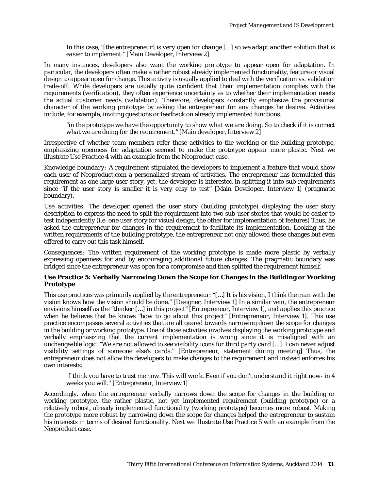*In this case, "[the entrepreneur] is very open for change […] so we adapt another solution that is easier to implement."* [Main Developer, Interview 2]

In many instances, developers also want the working prototype to appear open for adaptation. In particular, the developers often make a rather robust already implemented functionality, feature or visual design to appear open for change. This activity is usually applied to deal with the verification vs. validation trade-off: While developers are usually quite confident that their implementation complies with the requirements (verification), they often experience uncertainty as to whether their implementation meets the actual customer needs (validation). Therefore, developers constantly emphasize the provisional character of the working prototype by asking the entrepreneur for any changes he desires. Activities include, for example, inviting questions or feedback on already implemented functions:

*"in the prototype we have the opportunity to show what we are doing. So to check if it is correct what we are doing for the requirement."* [Main developer, Interview 2]

Irrespective of whether team members refer these activities to the working or the building prototype, emphasizing openness for adaptation seemed to make the prototype appear more plastic. Next we illustrate Use Practice 4 with an example from the Neoproduct case.

*Knowledge boundary:* A requirement stipulated the developers to implement a feature that would show each user of Neoproduct.com a personalized stream of activities. The entrepreneur has formulated this requirement as one large user story, yet, the developer is interested in splitting it into sub-requirements since "if the user story is smaller it is very easy to test" [Main Developer, Interview 1] (pragmatic boundary).

*Use activities:* The developer opened the user story (building prototype) displaying the user story description to express the need to split the requirement into two sub-user stories that would be easier to test independently (i.e. one user story for visual design, the other for implementation of features) Thus, he asked the entrepreneur for changes in the requirement to facilitate its implementation. Looking at the written requirements of the building prototype, the entrepreneur not only allowed these changes but even offered to carry out this task himself.

*Consequences:* The written requirement of the working prototype is made more plastic by verbally expressing openness for and by encouraging additional future changes. The pragmatic boundary was bridged since the entrepreneur was open for a compromise and then splitted the requirement himself.

#### **Use Practice 5: Verbally Narrowing Down the Scope for Changes in the Building or Working Prototype**

This use practices was primarily applied by the entrepreneur: "*[…] It is his vision, I think the man with the vision knows how the vision should be done."* [Designer, Interview 1] In a similar vein, the entrepreneur envisions himself as the *"thinker […] in this project"* [Entrepreneur, Interview 1], and applies this practice when he believes that he knows *"how to go about this project"* [Entrepreneur, Interview 1]. This use practice encompasses several activities that are all geared towards narrowing down the scope for changes in the building or working prototype. One of those activities involves displaying the working prototype and verbally emphasizing that the current implementation is wrong since it is misaligned with an unchangeable logic: *"We are not allowed to see visibility icons for third party card [...] I can never adjust visibility settings of someone else's cards."* [Entrepreneur, statement during meeting] Thus, the entrepreneur does not allow the developers to make changes to the requirement and instead enforces his own interests:

*"I think you have to trust me now. This will work. Even if you don't understand it right now- in 4 weeks you will."* [Entrepreneur, Interview 1]

Accordingly, when the entrepreneur verbally narrows down the scope for changes in the building or working prototype, the rather plastic, not yet implemented requirement (building prototype) or a relatively robust, already implemented functionality (working prototype) becomes more robust. Making the prototype more robust by narrowing down the scope for changes helped the entrepreneur to sustain his interests in terms of desired functionality. Next we illustrate Use Practice 5 with an example from the Neoproduct case.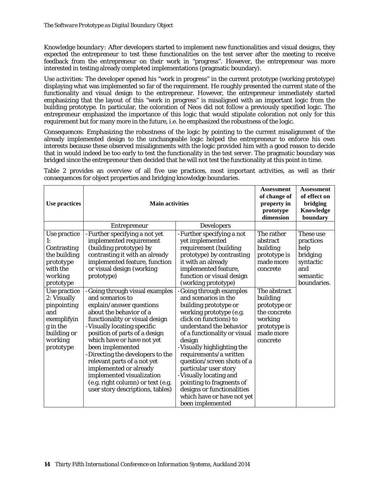*Knowledge boundary:* After developers started to implement new functionalities and visual designs, they expected the entrepreneur to test these functionalities on the test server after the meeting to receive feedback from the entrepreneur on their work in "progress". However, the entrepreneur was more interested in testing already completed implementations (pragmatic boundary).

*Use activities:* The developer opened his "work in progress" in the current prototype (working prototype) displaying what was implemented so far of the requirement. He roughly presented the current state of the functionality and visual design to the entrepreneur. However, the entrepreneur immediately started emphasizing that the layout of this "work in progress" is misaligned with an important logic from the building prototype. In particular, the coloration of Neos did not follow a previously specified logic. The entrepreneur emphasized the importance of this logic that would stipulate coloration not only for this requirement but for many more in the future, i.e. he emphasized the robustness of the logic.

*Consequences*: Emphasizing the robustness of the logic by pointing to the current misalignment of the already implemented design to the unchangeable logic helped the entrepreneur to enforce his own interests because these observed misalignments with the logic provided him with a good reason to decide that in would indeed be too early to test the functionality in the test server. The pragmatic boundary was bridged since the entrepreneur then decided that he will not test the functionality at this point in time.

Table 2 provides an overview of all five use practices, most important activities, as well as their consequences for object properties and bridging knowledge boundaries.

| Use practices                                                                                                                                                                                                       | <b>Main activities</b>                                                                                                                                                                                                                                                                                                                                                                                                                                                                                                                                                                                                                                                | <b>Assessment</b><br>of change of<br>property in<br>prototype<br>dimension                                                                                                                                                                                                                                                                                                                                                                                                                                                                                                                                                                  | <b>Assessment</b><br>of effect on<br>bridging<br>Knowledge<br>boundary                                                                                                                      |                                                                                           |
|---------------------------------------------------------------------------------------------------------------------------------------------------------------------------------------------------------------------|-----------------------------------------------------------------------------------------------------------------------------------------------------------------------------------------------------------------------------------------------------------------------------------------------------------------------------------------------------------------------------------------------------------------------------------------------------------------------------------------------------------------------------------------------------------------------------------------------------------------------------------------------------------------------|---------------------------------------------------------------------------------------------------------------------------------------------------------------------------------------------------------------------------------------------------------------------------------------------------------------------------------------------------------------------------------------------------------------------------------------------------------------------------------------------------------------------------------------------------------------------------------------------------------------------------------------------|---------------------------------------------------------------------------------------------------------------------------------------------------------------------------------------------|-------------------------------------------------------------------------------------------|
|                                                                                                                                                                                                                     | <b>Entrepreneur</b>                                                                                                                                                                                                                                                                                                                                                                                                                                                                                                                                                                                                                                                   | <b>Developers</b>                                                                                                                                                                                                                                                                                                                                                                                                                                                                                                                                                                                                                           |                                                                                                                                                                                             |                                                                                           |
| Use practice<br>Contrasting<br>the building<br>prototype<br>with the<br>working<br>prototype<br>Use practice<br>2: Visually<br>pinpointing<br>and<br>exemplifyin<br>g in the<br>building or<br>working<br>prototype | -Further specifying a not yet<br>implemented requirement<br>(building prototype) by<br>contrasting it with an already<br>implemented feature, function<br>or visual design (working<br>prototype)<br>-Going through visual examples<br>and scenarios to<br>explain/answer questions<br>about the behavior of a<br>functionality or visual design<br>-Visually locating specific<br>position of parts of a design<br>which have or have not yet<br>been implemented<br>-Directing the developers to the<br>relevant parts of a not yet<br>implemented or already<br>implemented visualization<br>(e.g. right column) or text (e.g.<br>user story descriptions, tables) | -Further specifying a not<br>yet implemented<br>requirement (building<br>prototype) by contrasting<br>it with an already<br>implemented feature,<br>function or visual design<br>(working prototype)<br>-Going through examples<br>and scenarios in the<br>building prototype or<br>working prototype (e.g.<br>click on functions) to<br>understand the behavior<br>of a functionality or visual<br>design<br>-Visually highlighting the<br>requirements/a written<br>question/screen shots of a<br>particular user story<br>-Visually locating and<br>pointing to fragments of<br>designs or functionalities<br>which have or have not yet | The rather<br>abstract<br>building<br>prototype is<br>made more<br>concrete<br>The abstract<br>building<br>prototype or<br>the concrete<br>working<br>prototype is<br>made more<br>concrete | These use<br>practices<br>help<br>bridging<br>syntactic<br>and<br>semantic<br>boundaries. |
|                                                                                                                                                                                                                     |                                                                                                                                                                                                                                                                                                                                                                                                                                                                                                                                                                                                                                                                       | been implemented                                                                                                                                                                                                                                                                                                                                                                                                                                                                                                                                                                                                                            |                                                                                                                                                                                             |                                                                                           |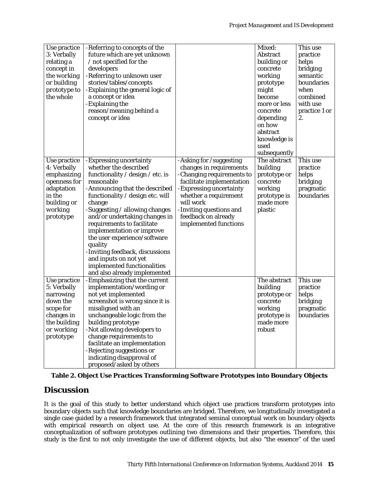| Use practice |                                                        |                           | Mixed:       | This use      |
|--------------|--------------------------------------------------------|---------------------------|--------------|---------------|
|              | -Referring to concepts of the                          |                           |              |               |
| 3: Verbally  | future which are yet unknown                           |                           | Abstract     | practice      |
| relating a   | / not specified for the                                |                           | building or  | helps         |
| concept in   | developers                                             |                           | concrete     | bridging      |
| the working  | -Referring to unknown user                             |                           | working      | semantic      |
| or building  | stories/tables/concepts                                |                           | prototype    | boundaries    |
| prototype to | - Explaining the general logic of                      |                           | might        | when          |
| the whole    | a concept or idea                                      |                           | become       | combined      |
|              | -Explaining the                                        |                           | more or less | with use      |
|              | reason/meaning behind a                                |                           | concrete     | practice 1 or |
|              | concept or idea                                        |                           | depending    | 2.            |
|              |                                                        |                           | on how       |               |
|              |                                                        |                           | abstract     |               |
|              |                                                        |                           | knowledge is |               |
|              |                                                        |                           | used         |               |
|              |                                                        |                           | subsequently |               |
| Use practice | -Expressing uncertainty                                | -Asking for /suggesting   | The abstract | This use      |
| 4: Verbally  | whether the described                                  | changes in requirements   | building     | practice      |
| emphasizing  | functionality / design / etc. is                       | -Changing requirements to | prototype or | helps         |
| openness for | reasonable                                             | facilitate implementation | concrete     | bridging      |
| adaptation   | -Announcing that the described                         | -Expressing uncertainty   | working      | pragmatic     |
| in the       | functionality / design etc. will                       | whether a requirement     | prototype is | boundaries    |
| building or  | change                                                 | will work                 | made more    |               |
| working      | -Suggesting / allowing changes                         | -Inviting questions and   | plastic      |               |
| prototype    | and/or undertaking changes in                          | feedback on already       |              |               |
|              | requirements to facilitate                             | implemented functions     |              |               |
|              | implementation or improve                              |                           |              |               |
|              | the user experience/software                           |                           |              |               |
|              | quality                                                |                           |              |               |
|              | -Inviting feedback, discussions                        |                           |              |               |
|              | and inputs on not yet                                  |                           |              |               |
|              | implemented functionalities                            |                           |              |               |
|              | and also already implemented                           |                           |              |               |
| Use practice | -Emphasizing that the current                          |                           | The abstract | This use      |
| 5: Verbally  | implementation/wording or                              |                           | building     | practice      |
| narrowing    | not yet implemented                                    |                           | prototype or | helps         |
| down the     | screenshot is wrong since it is                        |                           | concrete     | bridging      |
| scope for    | misaligned with an                                     |                           | working      | pragmatic     |
| changes in   | unchangeable logic from the                            |                           | prototype is | boundaries    |
| the building | building prototype                                     |                           | made more    |               |
| or working   | -Not allowing developers to                            |                           | robust       |               |
| prototype    |                                                        |                           |              |               |
|              |                                                        |                           |              |               |
|              | change requirements to                                 |                           |              |               |
|              | facilitate an implementation                           |                           |              |               |
|              | -Rejecting suggestions or<br>indicating disapproval of |                           |              |               |

|  | Table 2. Object Use Practices Transforming Software Prototypes into Boundary Objects |  |  |  |
|--|--------------------------------------------------------------------------------------|--|--|--|
|  |                                                                                      |  |  |  |

# **Discussion**

It is the goal of this study to better understand which object use practices transform prototypes into boundary objects such that knowledge boundaries are bridged. Therefore, we longitudinally investigated a single case guided by a research framework that integrated seminal conceptual work on boundary objects with empirical research on object use. At the core of this research framework is an integrative conceptualization of software prototypes outlining two dimensions and their properties. Therefore, this study is the first to not only investigate the use of different objects, but also "the essence" of the used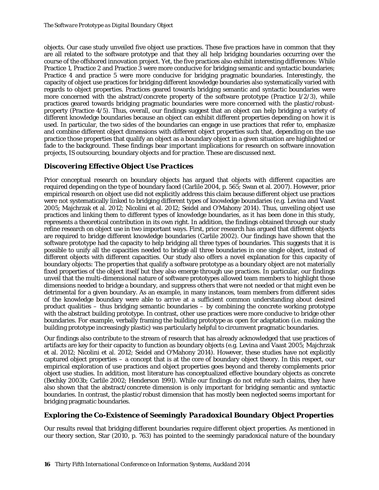objects. Our case study unveiled five object use practices. These five practices have in common that they are all related to the software prototype and that they all help bridging boundaries occurring over the course of the offshored innovation project. Yet, the five practices also exhibit interesting differences: While Practice 1, Practice 2 and Practice 3 were more conducive for bridging semantic and syntactic boundaries; Practice 4 and practice 5 were more conducive for bridging pragmatic boundaries. Interestingly, the capacity of object use practices for bridging different knowledge boundaries also systematically varied with regards to object properties. Practices geared towards bridging semantic and syntactic boundaries were more concerned with the abstract/concrete property of the software prototype (Practice 1/2/3), while practices geared towards bridging pragmatic boundaries were more concerned with the plastic/robustproperty (Practice 4/5). Thus, overall, our findings suggest that an object can help bridging a variety of different knowledge boundaries because an object can exhibit different properties depending on how it is used. In particular, the two sides of the boundaries can engage in use practices that refer to, emphasize and combine different object dimensions with different object properties such that, depending on the use practice those properties that qualify an object as a boundary object in a given situation are highlighted or fade to the background. These findings bear important implications for research on software innovation projects, IS outsourcing, boundary objects and for practice. These are discussed next.

# *Discovering Effective Object Use Practices*

Prior conceptual research on boundary objects has argued that objects with different capacities are required depending on the type of boundary faced [\(Carlile 2004, p. 565;](#page-17-10) [Swan et al. 2007\)](#page-18-25). However, prior empirical research on object use did not explicitly address this claim because different object use practices were not systematically linked to bridging different types of knowledge boundaries (e.g. [Levina and Vaast](#page-18-3)  [2005;](#page-18-3) [Majchrzak et al. 2012;](#page-18-7) [Nicolini et al. 2012;](#page-18-17) [Seidel and O'Mahony 2014\)](#page-18-11). Thus, unveiling object use practices and linking them to different types of knowledge boundaries, as it has been done in this study, represents a theoretical contribution in its own right. In addition, the findings obtained through our study refine research on object use in two important ways. First, prior research has argued that different objects are required to bridge different knowledge boundaries [\(Carlile 2002\)](#page-17-7). Our findings have shown that the software prototype had the capacity to help bridging all three types of boundaries. This suggests that it is possible to unify all the capacities needed to bridge all three boundaries in one single object, instead of different objects with different capacities. Our study also offers a novel explanation for this capacity of boundary objects: The properties that qualify a software prototype as a boundary object are not materially fixed properties of the object itself but they also emerge through use practices. In particular, our findings unveil that the multi-dimensional nature of software prototypes allowed team members to highlight those dimensions needed to bridge a boundary, and suppress others that were not needed or that might even be detrimental for a given boundary. As an example, in many instances, team members from different sides of the knowledge boundary were able to arrive at a sufficient common understanding about desired product qualities – thus bridging semantic boundaries – by combining the concrete working prototype with the abstract building prototype. In contrast, other use practices were more conducive to bridge other boundaries. For example, verbally framing the building prototype as open for adaptation (i.e. making the building prototype increasingly plastic) was particularly helpful to circumvent pragmatic boundaries.

Our findings also contribute to the stream of research that has already acknowledged that use practices of artifacts are key for their capacity to function as boundary objects (e.g. [Levina and Vaast 2005;](#page-18-3) [Majchrzak](#page-18-7)  [et al. 2012;](#page-18-7) [Nicolini et al. 2012;](#page-18-17) [Seidel and O'Mahony 2014\)](#page-18-11). However, these studies have not explicitly captured object properties – a concept that is at the core of boundary object theory. In this respect, our empirical exploration of use practices *and* object properties goes beyond and thereby complements prior object use studies. In addition, most literature has conceptualized effective boundary objects as concrete [\(Bechky 2003b;](#page-17-2) [Carlile 2002;](#page-17-7) [Henderson 1991\)](#page-17-4). While our findings do not refute such claims, they have also shown that the abstract/concrete dimension is only important for bridging semantic and syntactic boundaries. In contrast, the plastic/robust dimension that has mostly been neglected seems important for bridging pragmatic boundaries.

# *Exploring the Co-Existence of Seemingly Paradoxical Boundary Object Properties*

Our results reveal that bridging different boundaries require different object properties. As mentioned in our theory section, [Star \(2010, p. 763\)](#page-18-1) has pointed to the seemingly paradoxical nature of the boundary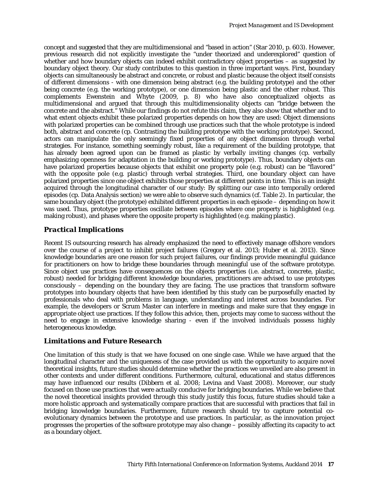concept and suggested that they are multidimensional and "based in action" [\(Star 2010, p. 603\)](#page-18-1). However, previous research did not explicitly investigate the "under theorized and underexplored" question of whether and how boundary objects can indeed exhibit contradictory object properties – as suggested by boundary object theory. Our study contributes to this question in three important ways. First, boundary objects can simultaneously be abstract and concrete, or robust and plastic because the object itself consists of different dimensions - with one dimension being abstract (e.g. the building prototype) and the other being concrete (e.g. the working prototype), or one dimension being plastic and the other robust. This complements [Ewenstein and Whyte \(2009, p. 8\)](#page-17-16) who have also conceptualized objects as multidimensional and argued that through this multidimensionality objects can "bridge between the concrete and the abstract." While our findings do not refute this claim, they also show that whether and to what extent objects exhibit these polarized properties depends on how they are used: Object dimensions with polarized properties can be combined through use practices such that the whole prototype is indeed both, abstract and concrete (cp. Contrasting the building prototype with the working prototype). Second, actors can manipulate the only seemingly fixed properties of any object dimension through verbal strategies. For instance, something seemingly robust, like a requirement of the building prototype, that has already been agreed upon can be framed as plastic by verbally inviting changes (cp. verbally emphasizing openness for adaptation in the building or working prototype). Thus, boundary objects can have polarized properties because objects that exhibit one property pole (e.g. robust) can be "flavored" with the opposite pole (e.g. plastic) through verbal strategies. Third, one boundary object can have polarized properties since one object exhibits those properties at different points in time. This is an insight acquired through the longitudinal character of our study: By splitting our case into temporally ordered episodes (cp. Data Analysis section) we were able to observe such dynamics (cf. Table 2). In particular, the same boundary object (the prototype) exhibited different properties in each episode – depending on how it was used. Thus, prototype properties oscillate between episodes where one property is highlighted (e.g. making robust), and phases where the opposite property is highlighted (e.g. making plastic).

# *Practical Implications*

Recent IS outsourcing research has already emphasized the need to effectively manage offshore vendors over the course of a project to inhibit project failures [\(Gregory et al. 2013;](#page-17-22) [Huber et al. 2013\)](#page-17-19). Since knowledge boundaries are one reason for such project failures, our findings provide meaningful guidance for practitioners on how to bridge these boundaries through meaningful use of the software prototype. Since object use practices have consequences on the objects properties (i.e. abstract, concrete, plastic, robust) needed for bridging different knowledge boundaries, practitioners are advised to use prototypes consciously – depending on the boundary they are facing. The use practices that transform software prototypes into boundary objects that have been identified by this study can be purposefully enacted by professionals who deal with problems in language, understanding and interest across boundaries. For example, the developers or Scrum Master can interfere in meetings and make sure that they engage in appropriate object use practices. If they follow this advice, then, projects may come to success without the need to engage in extensive knowledge sharing - even if the involved individuals possess highly heterogeneous knowledge.

### *Limitations and Future Research*

One limitation of this study is that we have focused on one single case. While we have argued that the longitudinal character and the uniqueness of the case provided us with the opportunity to acquire novel theoretical insights, future studies should determine whether the practices we unveiled are also present in other contexts and under different conditions. Furthermore, cultural, educational and status differences may have influenced our results [\(Dibbern et al. 2008;](#page-17-23) [Levina and Vaast 2008\)](#page-18-6). Moreover, our study focused on those use practices that were actually conducive for bridging boundaries. While we believe that the novel theoretical insights provided through this study justify this focus, future studies should take a more holistic approach and systematically compare practices that are successful with practices that fail in bridging knowledge boundaries. Furthermore, future research should try to capture potential coevolutionary dynamics between the prototype and use practices. In particular, as the innovation project progresses the properties of the software prototype may also change – possibly affecting its capacity to act as a boundary object.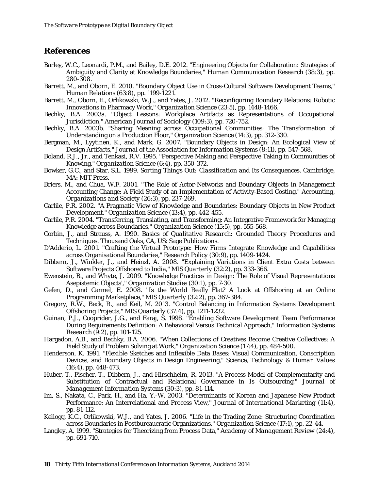# **References**

- <span id="page-17-1"></span>Barley, W.C., Leonardi, P.M., and Bailey, D.E. 2012. "Engineering Objects for Collaboration: Strategies of Ambiguity and Clarity at Knowledge Boundaries," *Human Communication Research* (38:3), pp. 280-308.
- <span id="page-17-5"></span>Barrett, M., and Oborn, E. 2010. "Boundary Object Use in Cross-Cultural Software Development Teams," *Human Relations* (63:8), pp. 1199-1221.
- <span id="page-17-6"></span>Barrett, M., Oborn, E., Orlikowski, W.J., and Yates, J. 2012. "Reconfiguring Boundary Relations: Robotic Innovations in Pharmacy Work," *Organization Science* (23:5), pp. 1448-1466.
- <span id="page-17-15"></span>Bechky, B.A. 2003a. "Object Lessons: Workplace Artifacts as Representations of Occupational Jurisdiction," *American Journal of Sociology* (109:3), pp. 720-752.
- <span id="page-17-2"></span>Bechky, B.A. 2003b. "Sharing Meaning across Occupational Communities: The Transformation of Understanding on a Production Floor," *Organization Science* (14:3), pp. 312-330.
- <span id="page-17-8"></span>Bergman, M., Lyytinen, K., and Mark, G. 2007. "Boundary Objects in Design: An Ecological View of Design Artifacts," *Journal of the Association for Information Systems* (8:11), pp. 547-568.
- <span id="page-17-12"></span>Boland, R.J., Jr., and Tenkasi, R.V. 1995. "Perspective Making and Perspective Taking in Communities of Knowing," *Organization Science* (6:4), pp. 350-372.
- <span id="page-17-3"></span>Bowker, G.C., and Star, S.L. 1999. *Sorting Things Out: Classification and Its Consequences*. Cambridge, MA: MIT Press.
- <span id="page-17-14"></span>Briers, M., and Chua, W.F. 2001. "The Role of Actor-Networks and Boundary Objects in Management Accounting Change: A Field Study of an Implementation of Activity-Based Costing," *Accounting, Organizations and Society* (26:3), pp. 237-269.
- <span id="page-17-7"></span>Carlile, P.R. 2002. "A Pragmatic View of Knowledge and Boundaries: Boundary Objects in New Product Development," *Organization Science* (13:4), pp. 442-455.
- <span id="page-17-10"></span>Carlile, P.R. 2004. "Transferring, Translating, and Transforming: An Integrative Framework for Managing Knowledge across Boundaries," *Organization Science* (15:5), pp. 555-568.
- <span id="page-17-21"></span>Corbin, J., and Strauss, A. 1990. *Basics of Qualitative Research: Grounded Theory Procedures and Techniques*. Thousand Oaks, CA, US: Sage Publications.
- <span id="page-17-17"></span>D'Adderio, L. 2001. "Crafting the Virtual Prototype: How Firms Integrate Knowledge and Capabilities across Organisational Boundaries," *Research Policy* (30:9), pp. 1409-1424.
- <span id="page-17-23"></span>Dibbern, J., Winkler, J., and Heinzl, A. 2008. "Explaining Variations in Client Extra Costs between Software Projects Offshored to India," *MIS Quarterly* (32:2), pp. 333-366.
- <span id="page-17-16"></span>Ewenstein, B., and Whyte, J. 2009. "Knowledge Practices in Design: The Role of Visual Representations Asepistemic Objects'," *Organization Studies* (30:1), pp. 7-30.
- <span id="page-17-0"></span>Gefen, D., and Carmel, E. 2008. "Is the World Really Flat? A Look at Offshoring at an Online Programming Marketplace," *MIS Quarterly* (32:2), pp. 367-384.
- <span id="page-17-22"></span>Gregory, R.W., Beck, R., and Keil, M. 2013. "Control Balancing in Information Systems Development Offshoring Projects," *MIS Quarterly* (37:4), pp. 1211-1232.
- <span id="page-17-11"></span>Guinan, P.J., Cooprider, J.G., and Faraj, S. 1998. "Enabling Software Development Team Performance During Requirements Definition: A Behavioral Versus Technical Approach," *Information Systems Research* (9:2), pp. 101-125.
- <span id="page-17-13"></span>Hargadon, A.B., and Bechky, B.A. 2006. "When Collections of Creatives Become Creative Collectives: A Field Study of Problem Solving at Work," *Organization Science* (17:4), pp. 484-500.
- <span id="page-17-4"></span>Henderson, K. 1991. "Flexible Sketches and Inflexible Data Bases: Visual Communication, Conscription Devices, and Boundary Objects in Design Engineering," *Science, Technology & Human Values* (16:4), pp. 448-473.
- <span id="page-17-19"></span>Huber, T., Fischer, T., Dibbern, J., and Hirschheim, R. 2013. "A Process Model of Complementarity and Substitution of Contractual and Relational Governance in Is Outsourcing," *Journal of Management Information Systems* (30:3), pp. 81-114.
- <span id="page-17-18"></span>Im, S., Nakata, C., Park, H., and Ha, Y.-W. 2003. "Determinants of Korean and Japanese New Product Performance: An Interrelational and Process View," *Journal of International Marketing* (11:4), pp. 81-112.
- <span id="page-17-9"></span>Kellogg, K.C., Orlikowski, W.J., and Yates, J. 2006. "Life in the Trading Zone: Structuring Coordination across Boundaries in Postbureaucratic Organizations," *Organization Science* (17:1), pp. 22-44.
- <span id="page-17-20"></span>Langley, A. 1999. "Strategies for Theorizing from Process Data," *Academy of Management Review* (24:4), pp. 691-710.